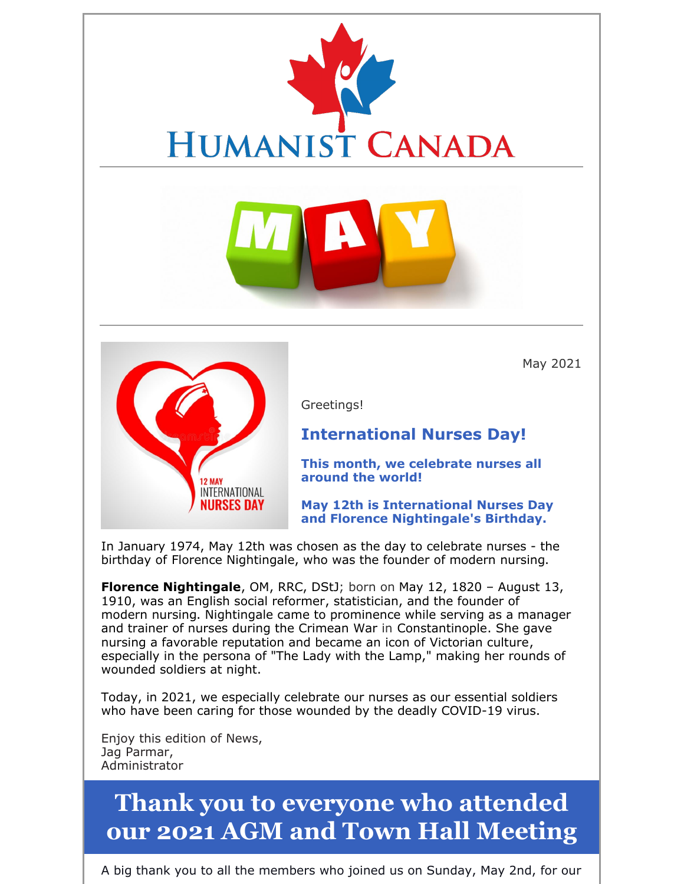



May 2021

Greetings!

### **International Nurses Day!**

**This month, we celebrate nurses all around the world!**

**May 12th is International Nurses Day and Florence Nightingale's Birthday.**

In January 1974, May 12th was chosen as the day to celebrate nurses - the birthday of Florence Nightingale, who was the founder of modern nursing.

**Florence Nightingale**, OM, RRC, DStJ; born on May 12, 1820 – August 13, 1910, was an English social reformer, statistician, and the founder of modern nursing. Nightingale came to prominence while serving as a manager and trainer of nurses during the Crimean War in Constantinople. She gave nursing a favorable reputation and became an icon of Victorian culture, especially in the persona of "The Lady with the Lamp," making her rounds of wounded soldiers at night.

Today, in 2021, we especially celebrate our nurses as our essential soldiers who have been caring for those wounded by the deadly COVID-19 virus.

Enjoy this edition of News, Jag Parmar, Administrator

## **Thank you to everyone who attended our 2021 AGM and Town Hall Meeting**

A big thank you to all the members who joined us on Sunday, May 2nd, for our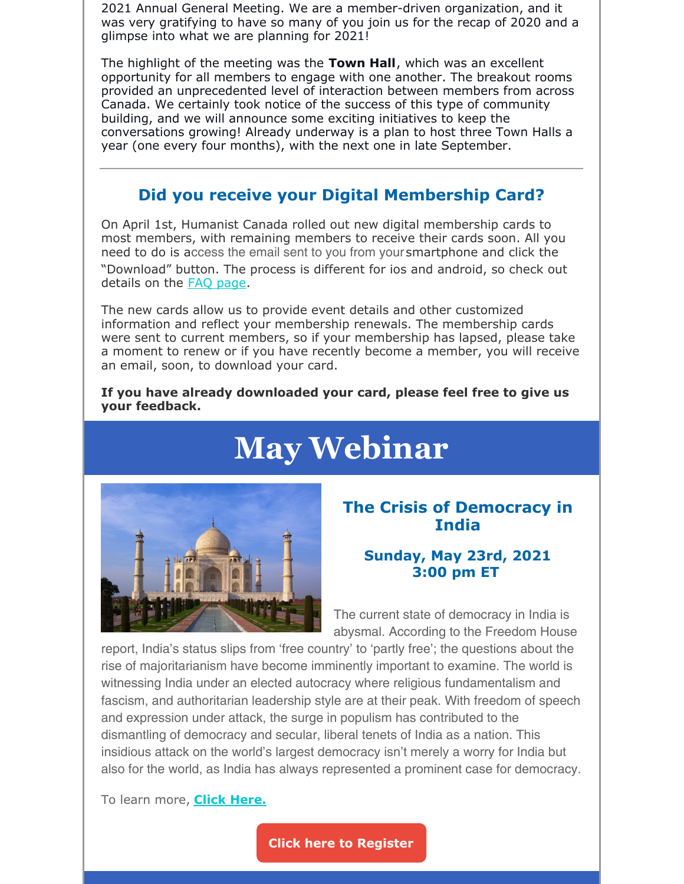2021 Annual General Meeting. We are a member-driven organization, and it was very gratifying to have so many of you join us for the recap of 2020 and a glimpse into what we are planning for 2021!

The highlight of the meeting was the **Town Hall**, which was an excellent opportunity for all members to engage with one another. The breakout rooms provided an unprecedented level of interaction between members from across Canada. We certainly took notice of the success of this type of community building, and we will announce some exciting initiatives to keep the conversations growing! Already underway is a plan to host three Town Halls a year (one every four months), with the next one in late September.

### **Did you receive your Digital Membership Card?**

On April 1st, Humanist Canada rolled out new digital membership cards to most members, with remaining members to receive their cards soon. All you need to do is access the email sent to you from your smartphone and click the "Download" button. The process is different for ios and android, so check out details on the FAQ page.

The new cards allow us to provide event details and other customized information and reflect your membership renewals. The membership cards were sent to current members, so if your membership has lapsed, please take a moment to renew or if you have recently become a member, you will receive an email, soon, to download your card.

#### **If you have already downloaded your card, please feel free to give us your feedback.**

## **May Webinar**



#### **The Crisis of Democracy in India**

#### **Sunday, May 23rd, 2021 3:00 pm ET**

The current state of democracy in India is abysmal. According to the Freedom House

report, India's status slips from 'free country' to 'partly free'; the questions about the rise of majoritarianism have become imminently important to examine. The world is witnessing India under an elected autocracy where religious fundamentalism and fascism, and authoritarian leadership style are at their peak. With freedom of speech and expression under attack, the surge in populism has contributed to the dismantling of democracy and secular, liberal tenets of India as a nation. This insidious attack on the world's largest democracy isn't merely a worry for India but also for the world, as India has always represented a prominent case for democracy.

To learn more, **Click Here.**

**Click here to Register**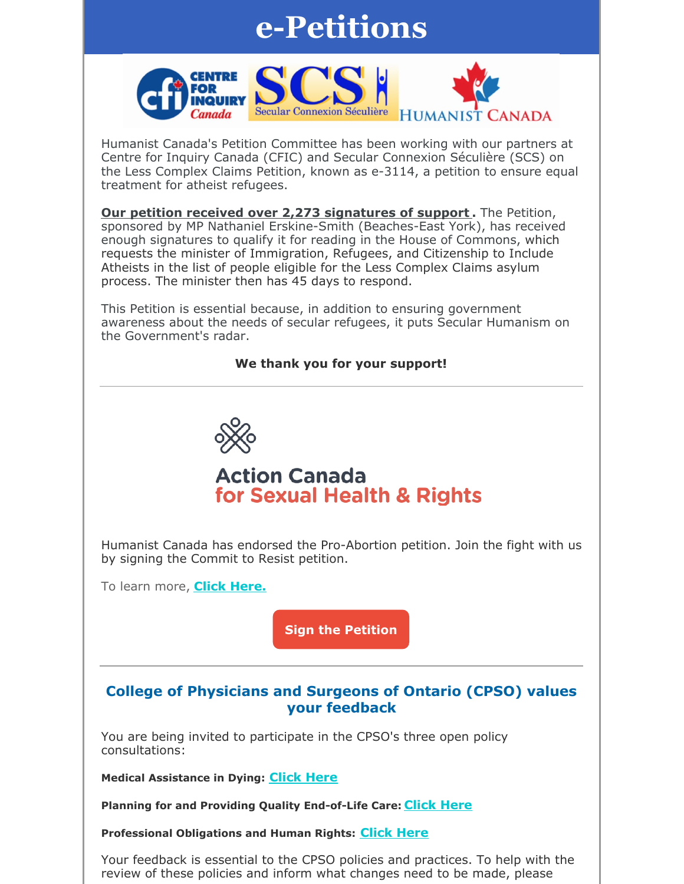## **e-Petitions**



Humanist Canada's Petition Committee has been working with our partners at Centre for Inquiry Canada (CFIC) and Secular Connexion Séculière (SCS) on the Less Complex Claims Petition, known as e-3114, a petition to ensure equal treatment for atheist refugees.

**Our petition received over 2,273 signatures of support .** The Petition, sponsored by MP Nathaniel Erskine-Smith (Beaches-East York), has received enough signatures to qualify it for reading in the House of Commons, which requests the minister of Immigration, Refugees, and Citizenship to Include Atheists in the list of people eligible for the Less Complex Claims asylum process. The minister then has 45 days to respond.

This Petition is essential because, in addition to ensuring government awareness about the needs of secular refugees, it puts Secular Humanism on the Government's radar.

#### **We thank you for your support!**



## **Action Canada** for Sexual Health & Rights

Humanist Canada has endorsed the Pro-Abortion petition. Join the fight with us by signing the Commit to Resist petition.

To learn more, **Click Here.**

**Sign the Petition**

#### **College of Physicians and Surgeons of Ontario (CPSO) values your feedback**

You are being invited to participate in the CPSO's three open policy consultations:

**Medical Assistance in Dying: Click Here**

**Planning for and Providing Quality End-of-Life Care: Click Here**

**Professional Obligations and Human Rights: Click Here**

Your feedback is essential to the CPSO policies and practices. To help with the review of these policies and inform what changes need to be made, please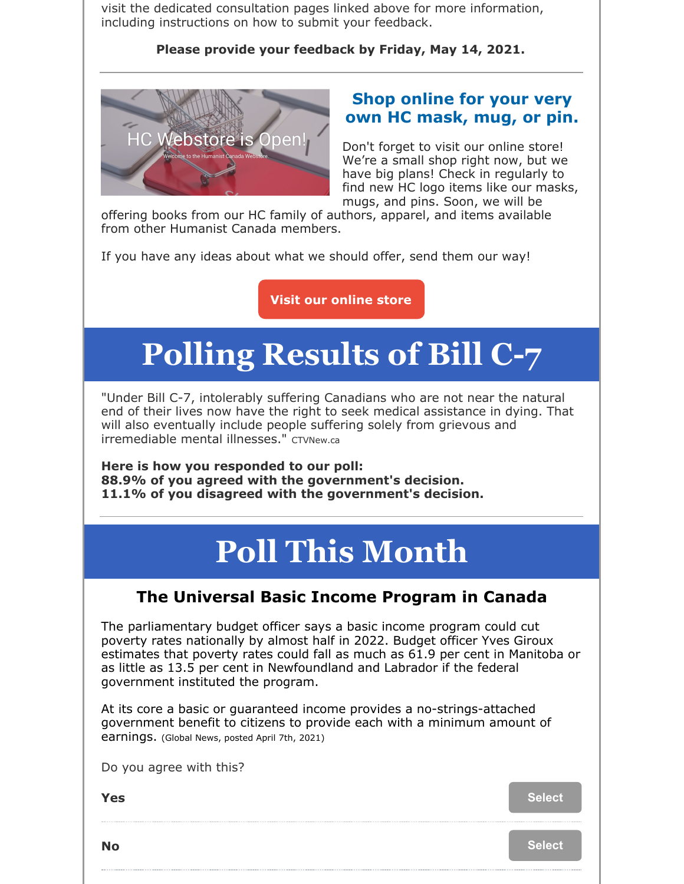visit the dedicated consultation pages linked above for more information, including instructions on how to submit your feedback.

**Please provide your feedback by Friday, May 14, 2021.**



### **Shop online for your very own HC mask, mug, or pin.**

Don't forget to visit our online store! We're a small shop right now, but we have big plans! Check in regularly to find new HC logo items like our masks, mugs, and pins. Soon, we will be

offering books from our HC family of authors, apparel, and items available from other Humanist Canada members.

If you have any ideas about what we should offer, send them our way!

**Visit our online store**

# **Polling Results of Bill C-7**

"Under Bill C-7, intolerably suffering Canadians who are not near the natural end of their lives now have the right to seek medical assistance in dying. That will also eventually include people suffering solely from grievous and irremediable mental illnesses." CTVNew.ca

**Here is how you responded to our poll: 88.9% of you agreed with the government's decision. 11.1% of you disagreed with the government's decision.**

# **Poll This Month**

### **The Universal Basic Income Program in Canada**

The parliamentary budget officer says a basic income program could cut poverty rates nationally by almost half in 2022. Budget officer Yves Giroux estimates that poverty rates could fall as much as 61.9 per cent in Manitoba or as little as 13.5 per cent in Newfoundland and Labrador if the federal government instituted the program.

At its core a basic or guaranteed income provides a no-strings-attached government benefit to citizens to provide each with a minimum amount of earnings. (Global News, posted April 7th, 2021)

|  |  | Do you agree with this? |  |  |
|--|--|-------------------------|--|--|
|--|--|-------------------------|--|--|

**Yes** Select

**No Select**